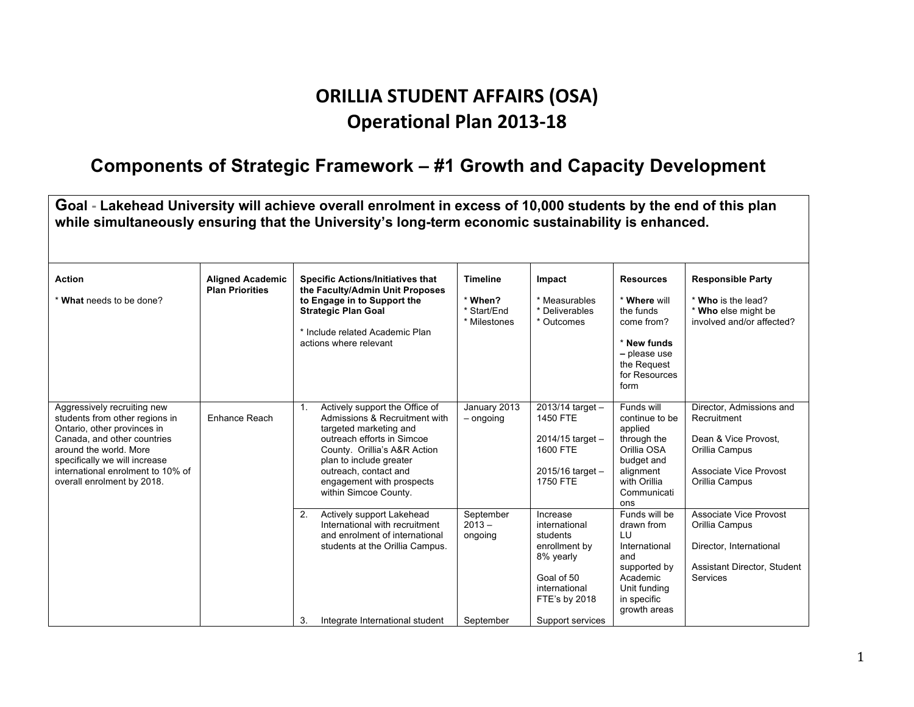## **ORILLIA STUDENT AFFAIRS (OSA) Operational Plan 2013-18**

#### **Components of Strategic Framework – #1 Growth and Capacity Development**

**Goal - Lakehead University will achieve overall enrolment in excess of 10,000 students by the end of this plan while simultaneously ensuring that the University's long-term economic sustainability is enhanced. Action** \* **What** needs to be done? **Aligned Academic Plan Priorities Specific Actions/Initiatives that the Faculty/Admin Unit Proposes to Engage in to Support the Strategic Plan Goal**  \* Include related Academic Plan actions where relevant **Timeline**  \* **When?** \* Start/End \* Milestones **Impact** \* Measurables \* Deliverables \* Outcomes **Resources** \* **Where** will the funds come from? \* **New funds –** please use the Request for Resources form **Responsible Party** \* **Who** is the lead? \* **Who** else might be involved and/or affected? Aggressively recruiting new students from other regions in Ontario, other provinces in Canada, and other countries around the world. More specifically we will increase international enrolment to 10% of overall enrolment by 2018. Enhance Reach 1. Actively support the Office of Admissions & Recruitment with targeted marketing and outreach efforts in Simcoe County. Orillia's A&R Action plan to include greater outreach, contact and engagement with prospects within Simcoe County. January 2013 – ongoing 2013/14 target – 1450 FTE 2014/15 target – 1600 FTE 2015/16 target – 1750 FTE Funds will continue to be applied through the Orillia OSA budget and alignment with Orillia Communicati ons Director, Admissions and Recruitment Dean & Vice Provost, Orillia Campus Associate Vice Provost Orillia Campus 2. Actively support Lakehead International with recruitment and enrolment of international students at the Orillia Campus. 3. Integrate International student September  $2013$ ongoing September Increase international students enrollment by 8% yearly Goal of 50 international FTE's by 2018 Support services Funds will be drawn from LU International and supported by Academic Unit funding in specific growth areas Associate Vice Provost Orillia Campus Director, International Assistant Director, Student **Services**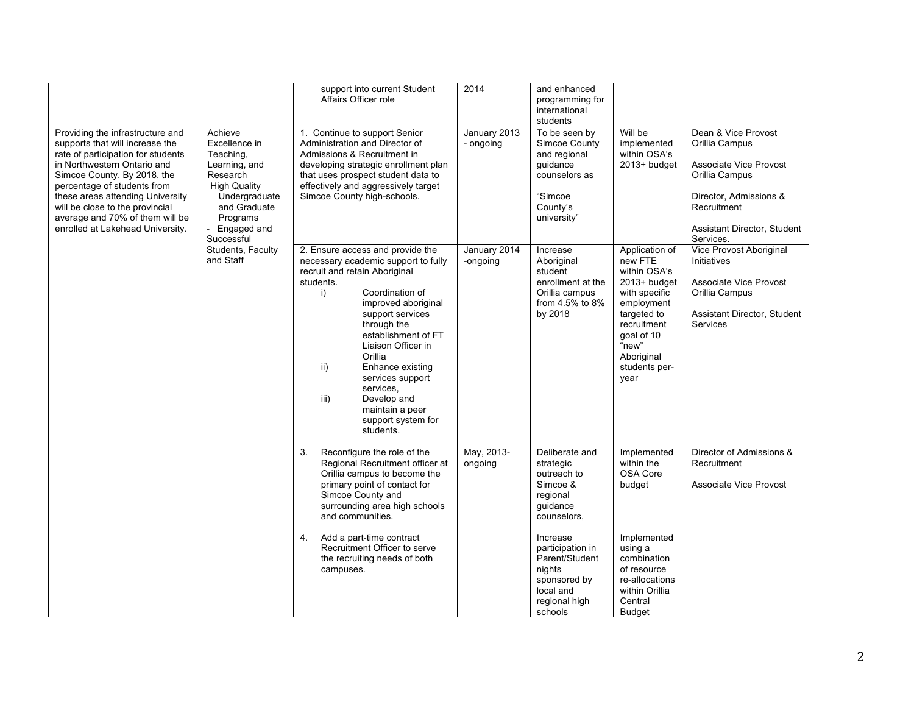|                                                                                                                                                                                                                                                                                                                                                                                                                                                                         |                                                                 | support into current Student<br>Affairs Officer role                                                                                                                                                                                                                                                                                                                                                      | 2014                      | and enhanced<br>programming for<br>international<br>students                                                      |                                                                                                                                                                                      |                                                                                                                                                                               |
|-------------------------------------------------------------------------------------------------------------------------------------------------------------------------------------------------------------------------------------------------------------------------------------------------------------------------------------------------------------------------------------------------------------------------------------------------------------------------|-----------------------------------------------------------------|-----------------------------------------------------------------------------------------------------------------------------------------------------------------------------------------------------------------------------------------------------------------------------------------------------------------------------------------------------------------------------------------------------------|---------------------------|-------------------------------------------------------------------------------------------------------------------|--------------------------------------------------------------------------------------------------------------------------------------------------------------------------------------|-------------------------------------------------------------------------------------------------------------------------------------------------------------------------------|
| Providing the infrastructure and<br>Achieve<br>supports that will increase the<br>Excellence in<br>rate of participation for students<br>Teaching,<br>in Northwestern Ontario and<br>Simcoe County. By 2018, the<br>Research<br>percentage of students from<br><b>High Quality</b><br>these areas attending University<br>will be close to the provincial<br>average and 70% of them will be<br>Programs<br>enrolled at Lakehead University.<br>Successful<br>and Staff | Learning, and<br>Undergraduate<br>and Graduate<br>- Engaged and | 1. Continue to support Senior<br>Administration and Director of<br>Admissions & Recruitment in<br>developing strategic enrollment plan<br>that uses prospect student data to<br>effectively and aggressively target<br>Simcoe County high-schools.                                                                                                                                                        | January 2013<br>- ongoing | To be seen by<br>Simcoe County<br>and regional<br>guidance<br>counselors as<br>"Simcoe<br>County's<br>university" | Will be<br>implemented<br>within OSA's<br>2013+ budget                                                                                                                               | Dean & Vice Provost<br>Orillia Campus<br><b>Associate Vice Provost</b><br>Orillia Campus<br>Director, Admissions &<br>Recruitment<br>Assistant Director, Student<br>Services. |
|                                                                                                                                                                                                                                                                                                                                                                                                                                                                         | Students, Faculty                                               | 2. Ensure access and provide the<br>necessary academic support to fully<br>recruit and retain Aboriginal<br>students.<br>Coordination of<br>i)<br>improved aboriginal<br>support services<br>through the<br>establishment of FT<br>Liaison Officer in<br>Orillia<br>ii)<br>Enhance existing<br>services support<br>services.<br>iii)<br>Develop and<br>maintain a peer<br>support system for<br>students. | January 2014<br>-ongoing  | Increase<br>Aboriginal<br>student<br>enrollment at the<br>Orillia campus<br>from 4.5% to 8%<br>by 2018            | Application of<br>new FTE<br>within OSA's<br>2013+ budget<br>with specific<br>employment<br>targeted to<br>recruitment<br>goal of 10<br>"new"<br>Aboriginal<br>students per-<br>year | Vice Provost Aboriginal<br>Initiatives<br>Associate Vice Provost<br>Orillia Campus<br>Assistant Director, Student<br>Services                                                 |
|                                                                                                                                                                                                                                                                                                                                                                                                                                                                         |                                                                 | Reconfigure the role of the<br>3.<br>Regional Recruitment officer at<br>Orillia campus to become the<br>primary point of contact for<br>Simcoe County and<br>surrounding area high schools<br>and communities.                                                                                                                                                                                            | May, 2013-<br>ongoing     | Deliberate and<br>strategic<br>outreach to<br>Simcoe &<br>regional<br>quidance<br>counselors,                     | Implemented<br>within the<br>OSA Core<br>budget                                                                                                                                      | Director of Admissions &<br>Recruitment<br>Associate Vice Provost                                                                                                             |
|                                                                                                                                                                                                                                                                                                                                                                                                                                                                         |                                                                 | Add a part-time contract<br>4.<br>Recruitment Officer to serve<br>the recruiting needs of both<br>campuses.                                                                                                                                                                                                                                                                                               |                           | Increase<br>participation in<br>Parent/Student<br>nights<br>sponsored by<br>local and<br>regional high<br>schools | Implemented<br>using a<br>combination<br>of resource<br>re-allocations<br>within Orillia<br>Central<br><b>Budget</b>                                                                 |                                                                                                                                                                               |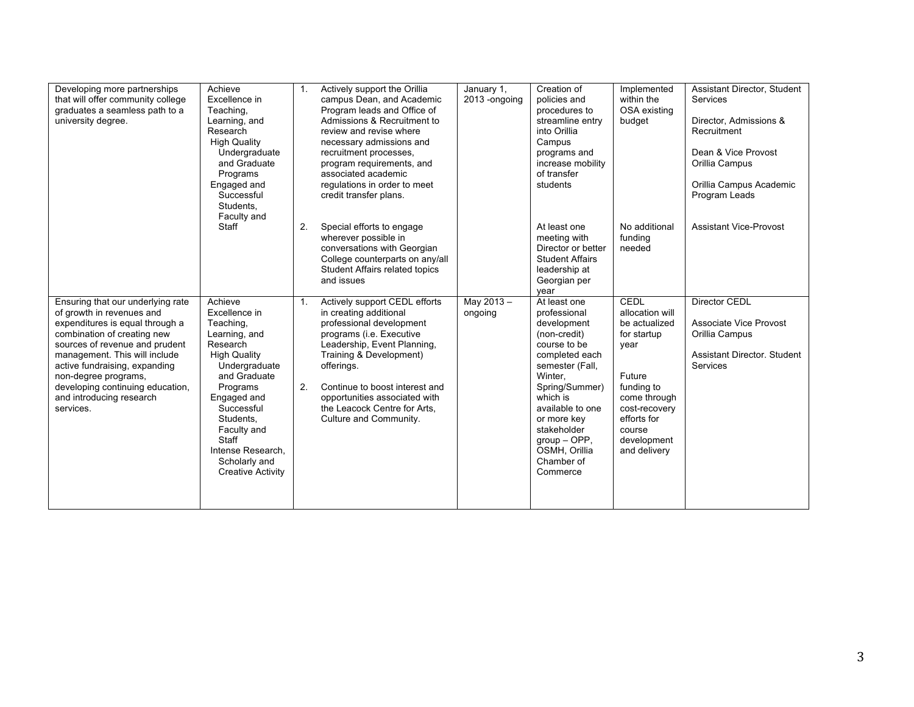| Developing more partnerships<br>that will offer community college<br>graduates a seamless path to a<br>university degree.                                                                                                                                                                                                                 | Achieve<br>Excellence in<br>Teaching.<br>Learning, and<br>Research<br><b>High Quality</b><br>Undergraduate<br>and Graduate<br>Programs<br>Engaged and<br>Successful<br>Students.<br>Faculty and                                                                            | 1 <sub>1</sub> | Actively support the Orillia<br>campus Dean, and Academic<br>Program leads and Office of<br>Admissions & Recruitment to<br>review and revise where<br>necessary admissions and<br>recruitment processes,<br>program requirements, and<br>associated academic<br>regulations in order to meet<br>credit transfer plans. | January 1,<br>2013 - ongoing | Creation of<br>policies and<br>procedures to<br>streamline entry<br>into Orillia<br>Campus<br>programs and<br>increase mobility<br>of transfer<br>students                                                                                                               | Implemented<br>within the<br>OSA existing<br>budget                                                                                                                              | Assistant Director, Student<br>Services<br>Director. Admissions &<br>Recruitment<br>Dean & Vice Provost<br>Orillia Campus<br>Orillia Campus Academic<br>Program Leads |
|-------------------------------------------------------------------------------------------------------------------------------------------------------------------------------------------------------------------------------------------------------------------------------------------------------------------------------------------|----------------------------------------------------------------------------------------------------------------------------------------------------------------------------------------------------------------------------------------------------------------------------|----------------|------------------------------------------------------------------------------------------------------------------------------------------------------------------------------------------------------------------------------------------------------------------------------------------------------------------------|------------------------------|--------------------------------------------------------------------------------------------------------------------------------------------------------------------------------------------------------------------------------------------------------------------------|----------------------------------------------------------------------------------------------------------------------------------------------------------------------------------|-----------------------------------------------------------------------------------------------------------------------------------------------------------------------|
|                                                                                                                                                                                                                                                                                                                                           | Staff                                                                                                                                                                                                                                                                      | 2.             | Special efforts to engage<br>wherever possible in<br>conversations with Georgian<br>College counterparts on any/all<br>Student Affairs related topics<br>and issues                                                                                                                                                    |                              | At least one<br>meeting with<br>Director or better<br><b>Student Affairs</b><br>leadership at<br>Georgian per<br>vear                                                                                                                                                    | No additional<br>fundina<br>needed                                                                                                                                               | <b>Assistant Vice-Provost</b>                                                                                                                                         |
| Ensuring that our underlying rate<br>of growth in revenues and<br>expenditures is equal through a<br>combination of creating new<br>sources of revenue and prudent<br>management. This will include<br>active fundraising, expanding<br>non-degree programs,<br>developing continuing education,<br>and introducing research<br>services. | Achieve<br>Excellence in<br>Teaching,<br>Learning, and<br>Research<br><b>High Quality</b><br>Undergraduate<br>and Graduate<br>Programs<br>Engaged and<br>Successful<br>Students,<br>Faculty and<br>Staff<br>Intense Research.<br>Scholarly and<br><b>Creative Activity</b> | $1_{-}$<br>2.  | Actively support CEDL efforts<br>in creating additional<br>professional development<br>programs (i.e. Executive<br>Leadership, Event Planning,<br>Training & Development)<br>offerings.<br>Continue to boost interest and<br>opportunities associated with<br>the Leacock Centre for Arts.<br>Culture and Community.   | May 2013-<br>ongoing         | At least one<br>professional<br>development<br>(non-credit)<br>course to be<br>completed each<br>semester (Fall,<br>Winter,<br>Spring/Summer)<br>which is<br>available to one<br>or more key<br>stakeholder<br>$group$ – OPP,<br>OSMH, Orillia<br>Chamber of<br>Commerce | CEDL<br>allocation will<br>be actualized<br>for startup<br>year<br>Future<br>funding to<br>come through<br>cost-recovery<br>efforts for<br>course<br>development<br>and delivery | <b>Director CEDL</b><br>Associate Vice Provost<br>Orillia Campus<br>Assistant Director, Student<br>Services                                                           |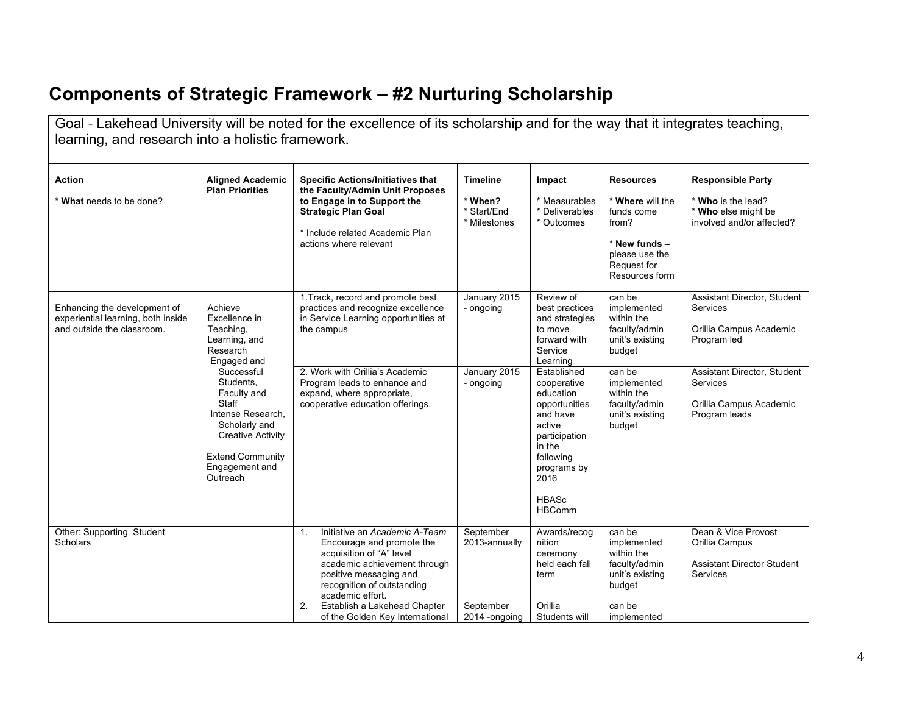# **Components of Strategic Framework – #2 Nurturing Scholarship**

| learning, and research into a holistic framework.                                                |                                                                                                                                                                                                                                                                        | Goal - Lakehead University will be noted for the excellence of its scholarship and for the way that it integrates teaching,                                                                                                                                                       |                                                           |                                                                                                                                                                                                                                                                                   |                                                                                                                                                                        |                                                                                                                                                                                        |
|--------------------------------------------------------------------------------------------------|------------------------------------------------------------------------------------------------------------------------------------------------------------------------------------------------------------------------------------------------------------------------|-----------------------------------------------------------------------------------------------------------------------------------------------------------------------------------------------------------------------------------------------------------------------------------|-----------------------------------------------------------|-----------------------------------------------------------------------------------------------------------------------------------------------------------------------------------------------------------------------------------------------------------------------------------|------------------------------------------------------------------------------------------------------------------------------------------------------------------------|----------------------------------------------------------------------------------------------------------------------------------------------------------------------------------------|
| Action<br>* What needs to be done?                                                               | <b>Aligned Academic</b><br><b>Plan Priorities</b>                                                                                                                                                                                                                      | <b>Specific Actions/Initiatives that</b><br>the Faculty/Admin Unit Proposes<br>to Engage in to Support the<br><b>Strategic Plan Goal</b><br>* Include related Academic Plan<br>actions where relevant                                                                             | <b>Timeline</b><br>* When?<br>* Start/End<br>* Milestones | Impact<br>* Measurables<br>* Deliverables<br>* Outcomes                                                                                                                                                                                                                           | <b>Resources</b><br>* Where will the<br>funds come<br>from?<br>* New funds -<br>please use the<br>Request for<br>Resources form                                        | <b>Responsible Party</b><br>* Who is the lead?<br>* Who else might be<br>involved and/or affected?                                                                                     |
| Enhancing the development of<br>experiential learning, both inside<br>and outside the classroom. | Achieve<br>Excellence in<br>Teaching,<br>Learning, and<br>Research<br>Engaged and<br>Successful<br>Students,<br>Faculty and<br><b>Staff</b><br>Intense Research.<br>Scholarly and<br><b>Creative Activity</b><br><b>Extend Community</b><br>Engagement and<br>Outreach | 1. Track, record and promote best<br>practices and recognize excellence<br>in Service Learning opportunities at<br>the campus<br>2. Work with Orillia's Academic<br>Program leads to enhance and<br>expand, where appropriate,<br>cooperative education offerings.                | January 2015<br>- ongoing<br>January 2015<br>- ongoing    | Review of<br>best practices<br>and strategies<br>to move<br>forward with<br>Service<br>Learning<br>Established<br>cooperative<br>education<br>opportunities<br>and have<br>active<br>participation<br>in the<br>following<br>programs by<br>2016<br><b>HBASc</b><br><b>HBComm</b> | can be<br>implemented<br>within the<br>faculty/admin<br>unit's existing<br>budget<br>can be<br>implemented<br>within the<br>faculty/admin<br>unit's existing<br>budget | <b>Assistant Director, Student</b><br><b>Services</b><br>Orillia Campus Academic<br>Program led<br>Assistant Director, Student<br>Services<br>Orillia Campus Academic<br>Program leads |
| Other: Supporting Student<br><b>Scholars</b>                                                     |                                                                                                                                                                                                                                                                        | Initiative an Academic A-Team<br>1.<br>Encourage and promote the<br>acquisition of "A" level<br>academic achievement through<br>positive messaging and<br>recognition of outstanding<br>academic effort.<br>Establish a Lakehead Chapter<br>2.<br>of the Golden Key International | September<br>2013-annually<br>September<br>2014 - ongoing | Awards/recog<br>nition<br>ceremony<br>held each fall<br>term<br>Orillia<br>Students will                                                                                                                                                                                          | can be<br>implemented<br>within the<br>faculty/admin<br>unit's existing<br>budget<br>can be<br>implemented                                                             | Dean & Vice Provost<br>Orillia Campus<br><b>Assistant Director Student</b><br>Services                                                                                                 |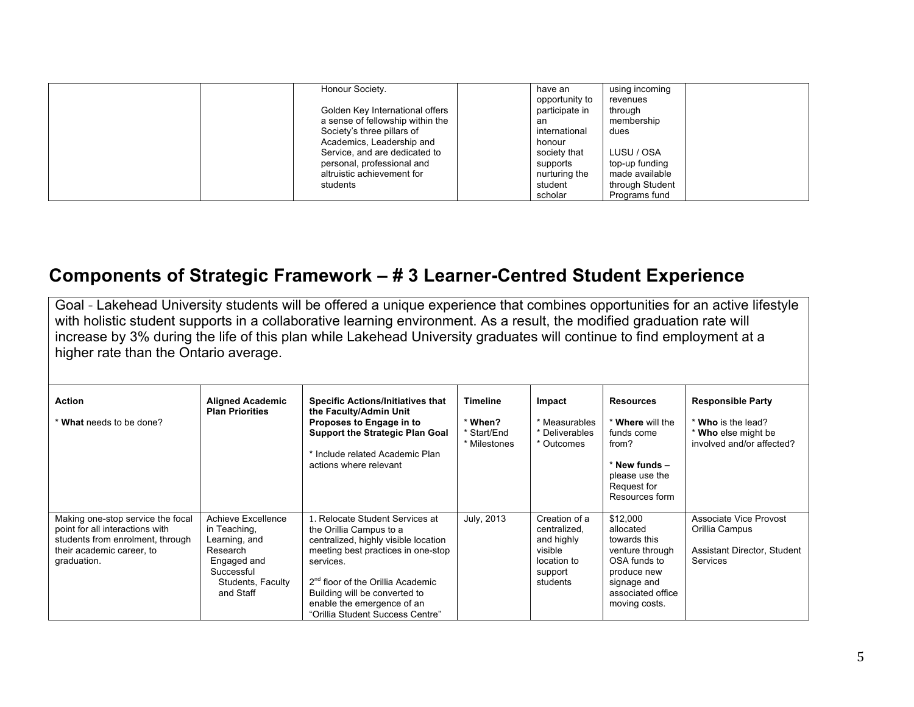| Honour Society.                  | have an        | using incoming  |  |
|----------------------------------|----------------|-----------------|--|
|                                  | opportunity to | revenues        |  |
| Golden Key International offers  | participate in | through         |  |
| a sense of fellowship within the | an             | membership      |  |
| Society's three pillars of       | international  | dues            |  |
| Academics, Leadership and        | honour         |                 |  |
| Service, and are dedicated to    | society that   | LUSU / OSA      |  |
| personal, professional and       | supports       | top-up funding  |  |
| altruistic achievement for       | nurturing the  | made available  |  |
| students                         | student        | through Student |  |
|                                  | scholar        | Programs fund   |  |

### **Components of Strategic Framework – # 3 Learner-Centred Student Experience**

Goal - Lakehead University students will be offered a unique experience that combines opportunities for an active lifestyle with holistic student supports in a collaborative learning environment. As a result, the modified graduation rate will increase by 3% during the life of this plan while Lakehead University graduates will continue to find employment at a higher rate than the Ontario average.

| Action<br>* What needs to be done?                                                                                                                   | <b>Aligned Academic</b><br><b>Plan Priorities</b>                                                                              | <b>Specific Actions/Initiatives that</b><br>the Faculty/Admin Unit<br>Proposes to Engage in to<br><b>Support the Strategic Plan Goal</b><br>* Include related Academic Plan<br>actions where relevant                                                                                                     | <b>Timeline</b><br>* When?<br>* Start/End<br>* Milestones | Impact<br>* Measurables<br>* Deliverables<br>* Outcomes                                      | <b>Resources</b><br>* Where will the<br>funds come<br>from?<br>$*$ New funds $-$<br>please use the<br>Request for<br>Resources form          | <b>Responsible Party</b><br>* Who is the lead?<br>* Who else might be<br>involved and/or affected? |
|------------------------------------------------------------------------------------------------------------------------------------------------------|--------------------------------------------------------------------------------------------------------------------------------|-----------------------------------------------------------------------------------------------------------------------------------------------------------------------------------------------------------------------------------------------------------------------------------------------------------|-----------------------------------------------------------|----------------------------------------------------------------------------------------------|----------------------------------------------------------------------------------------------------------------------------------------------|----------------------------------------------------------------------------------------------------|
| Making one-stop service the focal<br>point for all interactions with<br>students from enrolment, through<br>their academic career, to<br>graduation. | Achieve Excellence<br>in Teaching,<br>Learning, and<br>Research<br>Engaged and<br>Successful<br>Students, Faculty<br>and Staff | 1. Relocate Student Services at<br>the Orillia Campus to a<br>centralized, highly visible location<br>meeting best practices in one-stop<br>services.<br>2 <sup>nd</sup> floor of the Orillia Academic<br>Building will be converted to<br>enable the emergence of an<br>"Orillia Student Success Centre" | July, 2013                                                | Creation of a<br>centralized.<br>and highly<br>visible<br>location to<br>support<br>students | \$12,000<br>allocated<br>towards this<br>venture through<br>OSA funds to<br>produce new<br>signage and<br>associated office<br>moving costs. | Associate Vice Provost<br>Orillia Campus<br>Assistant Director, Student<br>Services                |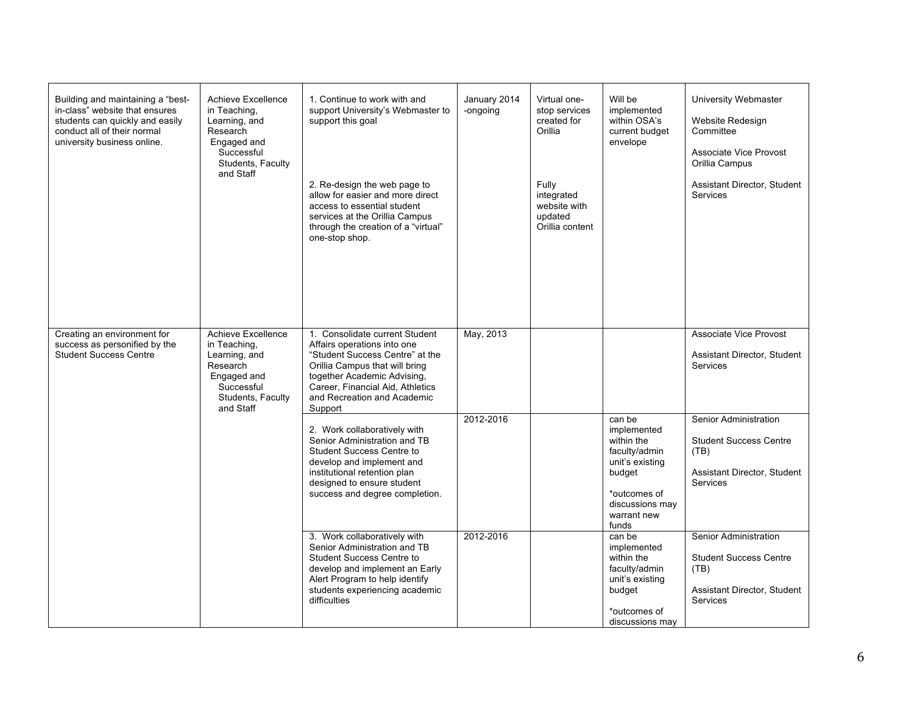| Building and maintaining a "best-<br>in-class" website that ensures<br>students can quickly and easily<br>conduct all of their normal<br>university business online. | Achieve Excellence<br>in Teaching,<br>Learning, and<br>Research<br>Engaged and<br>Successful<br>Students, Faculty<br>and Staff | 1. Continue to work with and<br>support University's Webmaster to<br>support this goal<br>2. Re-design the web page to<br>allow for easier and more direct<br>access to essential student<br>services at the Orillia Campus<br>through the creation of a "virtual"<br>one-stop shop. | January 2014<br>-ongoing | Virtual one-<br>stop services<br>created for<br>Orillia<br>Fully<br>integrated<br>website with<br>updated<br>Orillia content | Will be<br>implemented<br>within OSA's<br>current budget<br>envelope                                                                         | University Webmaster<br>Website Redesign<br>Committee<br>Associate Vice Provost<br>Orillia Campus<br>Assistant Director, Student<br><b>Services</b> |
|----------------------------------------------------------------------------------------------------------------------------------------------------------------------|--------------------------------------------------------------------------------------------------------------------------------|--------------------------------------------------------------------------------------------------------------------------------------------------------------------------------------------------------------------------------------------------------------------------------------|--------------------------|------------------------------------------------------------------------------------------------------------------------------|----------------------------------------------------------------------------------------------------------------------------------------------|-----------------------------------------------------------------------------------------------------------------------------------------------------|
| Creating an environment for<br>success as personified by the<br><b>Student Success Centre</b>                                                                        | Achieve Excellence<br>in Teaching,<br>Learning, and<br>Research<br>Engaged and<br>Successful<br>Students, Faculty<br>and Staff | 1. Consolidate current Student<br>Affairs operations into one<br>"Student Success Centre" at the<br>Orillia Campus that will bring<br>together Academic Advising,<br>Career, Financial Aid, Athletics<br>and Recreation and Academic<br>Support                                      | May, 2013                |                                                                                                                              |                                                                                                                                              | Associate Vice Provost<br>Assistant Director, Student<br><b>Services</b>                                                                            |
|                                                                                                                                                                      |                                                                                                                                | 2. Work collaboratively with<br>Senior Administration and TB<br><b>Student Success Centre to</b><br>develop and implement and<br>institutional retention plan<br>designed to ensure student<br>success and degree completion.                                                        | 2012-2016                |                                                                                                                              | can be<br>implemented<br>within the<br>faculty/admin<br>unit's existing<br>budget<br>*outcomes of<br>discussions may<br>warrant new<br>funds | Senior Administration<br><b>Student Success Centre</b><br>(TB)<br>Assistant Director, Student<br><b>Services</b>                                    |
|                                                                                                                                                                      |                                                                                                                                | 3. Work collaboratively with<br>Senior Administration and TB<br><b>Student Success Centre to</b><br>develop and implement an Early<br>Alert Program to help identify<br>students experiencing academic<br>difficulties                                                               | 2012-2016                |                                                                                                                              | can be<br>implemented<br>within the<br>faculty/admin<br>unit's existing<br>budget<br>*outcomes of<br>discussions may                         | Senior Administration<br><b>Student Success Centre</b><br>(TB)<br>Assistant Director, Student<br>Services                                           |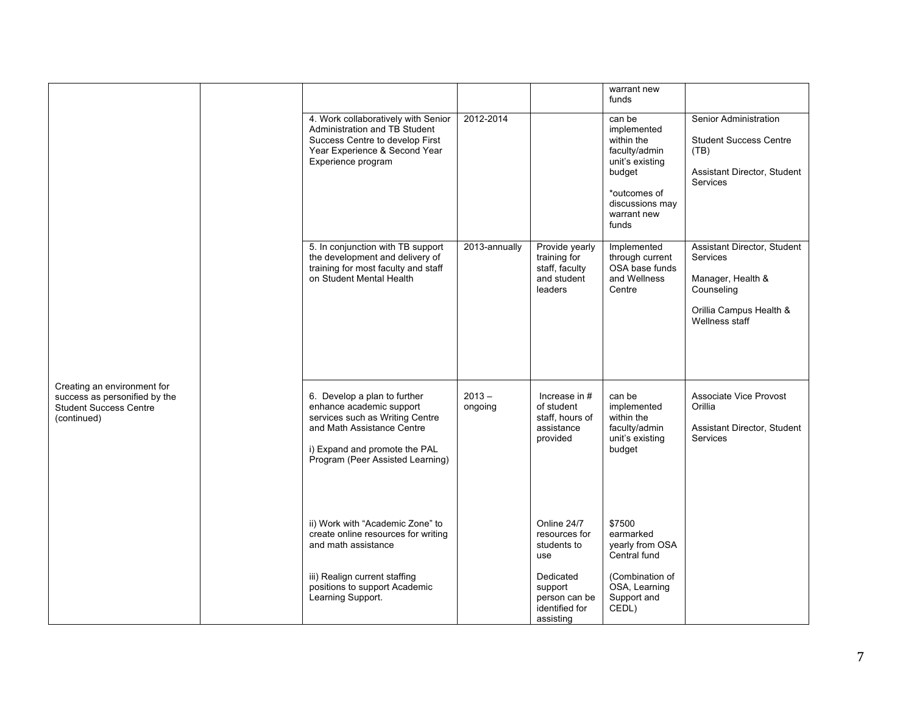|                                                                                                              |  |                                                                                                                                                                                                |                     |                                                                            | warrant new<br>funds                                                                                                                         |                                                                                                                         |
|--------------------------------------------------------------------------------------------------------------|--|------------------------------------------------------------------------------------------------------------------------------------------------------------------------------------------------|---------------------|----------------------------------------------------------------------------|----------------------------------------------------------------------------------------------------------------------------------------------|-------------------------------------------------------------------------------------------------------------------------|
|                                                                                                              |  | 4. Work collaboratively with Senior<br>Administration and TB Student<br>Success Centre to develop First<br>Year Experience & Second Year<br>Experience program                                 | 2012-2014           |                                                                            | can be<br>implemented<br>within the<br>faculty/admin<br>unit's existing<br>budget<br>*outcomes of<br>discussions may<br>warrant new<br>funds | Senior Administration<br><b>Student Success Centre</b><br>(TB)<br>Assistant Director, Student<br>Services               |
|                                                                                                              |  | 5. In conjunction with TB support<br>the development and delivery of<br>training for most faculty and staff<br>on Student Mental Health                                                        | 2013-annually       | Provide yearly<br>training for<br>staff, faculty<br>and student<br>leaders | Implemented<br>through current<br>OSA base funds<br>and Wellness<br>Centre                                                                   | Assistant Director, Student<br>Services<br>Manager, Health &<br>Counseling<br>Orillia Campus Health &<br>Wellness staff |
| Creating an environment for<br>success as personified by the<br><b>Student Success Centre</b><br>(continued) |  | 6. Develop a plan to further<br>enhance academic support<br>services such as Writing Centre<br>and Math Assistance Centre<br>i) Expand and promote the PAL<br>Program (Peer Assisted Learning) | $2013 -$<br>ongoing | Increase in $#$<br>of student<br>staff, hours of<br>assistance<br>provided | can be<br>implemented<br>within the<br>faculty/admin<br>unit's existing<br>budget                                                            | Associate Vice Provost<br>Orillia<br>Assistant Director, Student<br>Services                                            |
|                                                                                                              |  | ii) Work with "Academic Zone" to<br>create online resources for writing<br>and math assistance                                                                                                 |                     | Online 24/7<br>resources for<br>students to<br>use                         | \$7500<br>earmarked<br>yearly from OSA<br>Central fund                                                                                       |                                                                                                                         |
|                                                                                                              |  | iii) Realign current staffing<br>positions to support Academic<br>Learning Support.                                                                                                            |                     | Dedicated<br>support<br>person can be<br>identified for<br>assisting       | (Combination of<br>OSA, Learning<br>Support and<br>CEDL)                                                                                     |                                                                                                                         |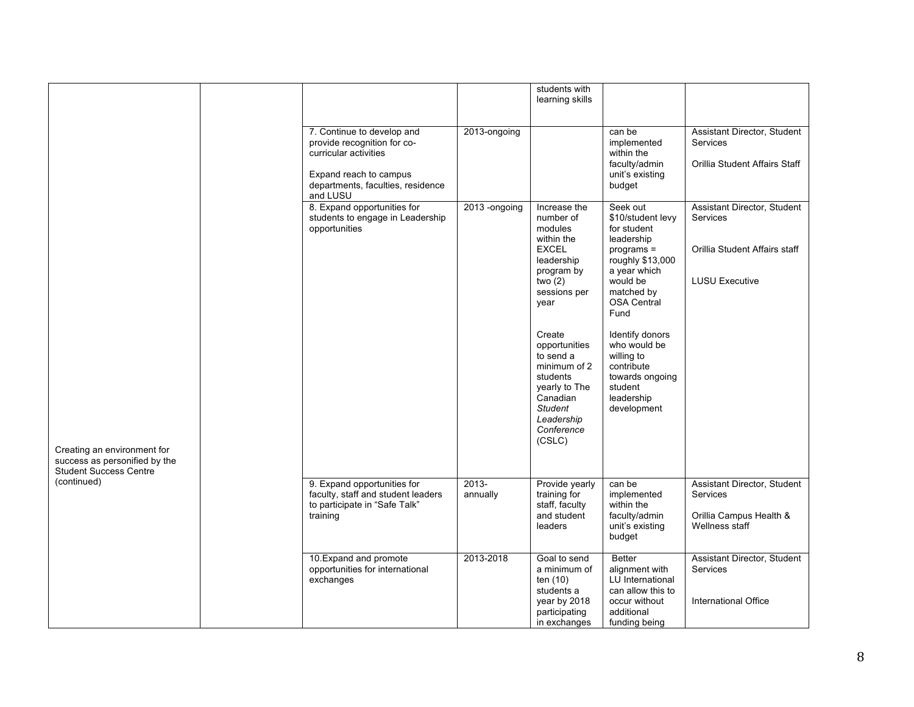|                                                                               |                                                                                  |                                                                                                                                                               |                                                                                                                                                                                                                                                                                              | students with<br>learning skills                                                                                                                                                                                                                                                               |                                                                                                                   |                                                                                             |
|-------------------------------------------------------------------------------|----------------------------------------------------------------------------------|---------------------------------------------------------------------------------------------------------------------------------------------------------------|----------------------------------------------------------------------------------------------------------------------------------------------------------------------------------------------------------------------------------------------------------------------------------------------|------------------------------------------------------------------------------------------------------------------------------------------------------------------------------------------------------------------------------------------------------------------------------------------------|-------------------------------------------------------------------------------------------------------------------|---------------------------------------------------------------------------------------------|
|                                                                               |                                                                                  | 7. Continue to develop and<br>provide recognition for co-<br>curricular activities<br>Expand reach to campus<br>departments, faculties, residence<br>and LUSU | 2013-ongoing                                                                                                                                                                                                                                                                                 |                                                                                                                                                                                                                                                                                                | can be<br>implemented<br>within the<br>faculty/admin<br>unit's existing<br>budget                                 | Assistant Director, Student<br>Services<br>Orillia Student Affairs Staff                    |
| Creating an environment for                                                   | 8. Expand opportunities for<br>students to engage in Leadership<br>opportunities | 2013 -ongoing                                                                                                                                                 | Increase the<br>number of<br>modules<br>within the<br><b>EXCEL</b><br>leadership<br>program by<br>two $(2)$<br>sessions per<br>year<br>Create<br>opportunities<br>to send a<br>minimum of 2<br>students<br>yearly to The<br>Canadian<br><b>Student</b><br>Leadership<br>Conference<br>(CSLC) | Seek out<br>\$10/student levy<br>for student<br>leadership<br>programs =<br>roughly \$13,000<br>a year which<br>would be<br>matched by<br><b>OSA Central</b><br>Fund<br>Identify donors<br>who would be<br>willing to<br>contribute<br>towards ongoing<br>student<br>leadership<br>development | Assistant Director, Student<br>Services<br>Orillia Student Affairs staff<br><b>LUSU Executive</b>                 |                                                                                             |
| success as personified by the<br><b>Student Success Centre</b><br>(continued) |                                                                                  | 9. Expand opportunities for<br>faculty, staff and student leaders<br>to participate in "Safe Talk"<br>training                                                | $2013 -$<br>annually                                                                                                                                                                                                                                                                         | Provide yearly<br>training for<br>staff, faculty<br>and student<br>leaders                                                                                                                                                                                                                     | can be<br>implemented<br>within the<br>faculty/admin<br>unit's existing<br>budget                                 | Assistant Director, Student<br><b>Services</b><br>Orillia Campus Health &<br>Wellness staff |
|                                                                               |                                                                                  | 10. Expand and promote<br>opportunities for international<br>exchanges                                                                                        | 2013-2018                                                                                                                                                                                                                                                                                    | Goal to send<br>a minimum of<br>ten (10)<br>students a<br>year by 2018<br>participating<br>in exchanges                                                                                                                                                                                        | Better<br>alignment with<br>LU International<br>can allow this to<br>occur without<br>additional<br>funding being | Assistant Director, Student<br><b>Services</b><br>International Office                      |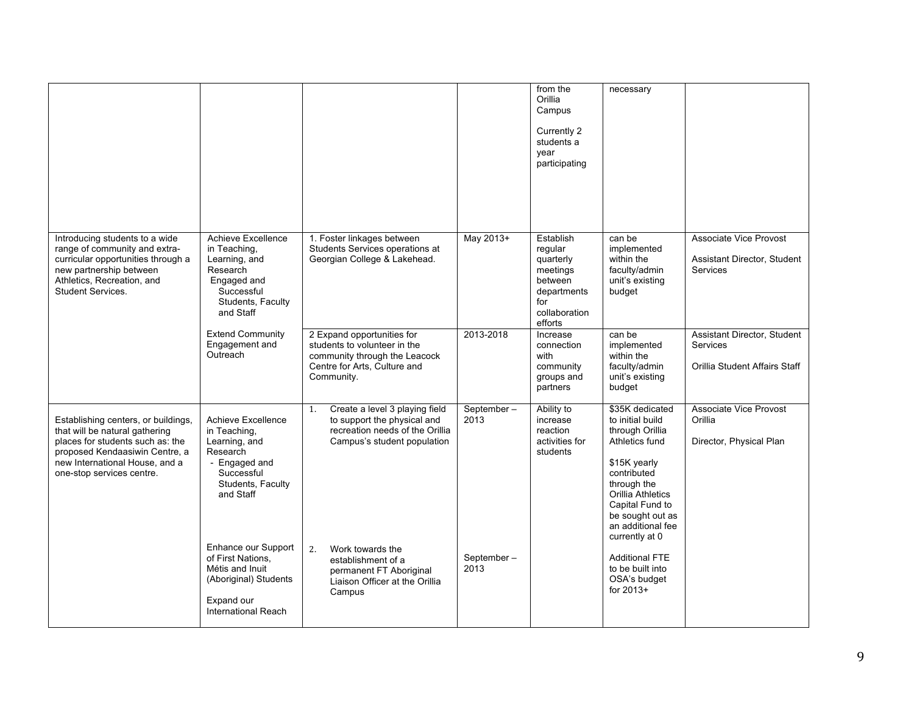|                                                                                                                                                                                                            |                                                                                                                                       |                                                                                                                                           |                        | from the<br>Orillia<br>Campus<br>Currently 2<br>students a<br>year<br>participating                        | necessary                                                                                                                                                                                                                 |                                                                          |
|------------------------------------------------------------------------------------------------------------------------------------------------------------------------------------------------------------|---------------------------------------------------------------------------------------------------------------------------------------|-------------------------------------------------------------------------------------------------------------------------------------------|------------------------|------------------------------------------------------------------------------------------------------------|---------------------------------------------------------------------------------------------------------------------------------------------------------------------------------------------------------------------------|--------------------------------------------------------------------------|
| Introducing students to a wide<br>range of community and extra-<br>curricular opportunities through a<br>new partnership between<br>Athletics, Recreation, and<br>Student Services.                        | <b>Achieve Excellence</b><br>in Teaching,<br>Learning, and<br>Research<br>Engaged and<br>Successful<br>Students, Faculty<br>and Staff | 1. Foster linkages between<br>Students Services operations at<br>Georgian College & Lakehead.                                             | May 2013+<br>2013-2018 | Establish<br>regular<br>quarterly<br>meetings<br>between<br>departments<br>for<br>collaboration<br>efforts | can be<br>implemented<br>within the<br>faculty/admin<br>unit's existing<br>budget                                                                                                                                         | Associate Vice Provost<br>Assistant Director, Student<br><b>Services</b> |
|                                                                                                                                                                                                            | <b>Extend Community</b><br>Engagement and<br>Outreach                                                                                 | 2 Expand opportunities for<br>students to volunteer in the<br>community through the Leacock<br>Centre for Arts, Culture and<br>Community. |                        | Increase<br>connection<br>with<br>community<br>groups and<br>partners                                      | can be<br>implemented<br>within the<br>faculty/admin<br>unit's existing<br>budget                                                                                                                                         | Assistant Director, Student<br>Services<br>Orillia Student Affairs Staff |
| Establishing centers, or buildings,<br>that will be natural gathering<br>places for students such as: the<br>proposed Kendaasiwin Centre, a<br>new International House, and a<br>one-stop services centre. | Achieve Excellence<br>in Teaching,<br>Learning, and<br>Research<br>- Engaged and<br>Successful<br>Students, Faculty<br>and Staff      | Create a level 3 playing field<br>1.<br>to support the physical and<br>recreation needs of the Orillia<br>Campus's student population     | September-<br>2013     | Ability to<br>increase<br>reaction<br>activities for<br>students                                           | \$35K dedicated<br>to initial build<br>through Orillia<br>Athletics fund<br>\$15K yearly<br>contributed<br>through the<br>Orillia Athletics<br>Capital Fund to<br>be sought out as<br>an additional fee<br>currently at 0 | <b>Associate Vice Provost</b><br>Orillia<br>Director, Physical Plan      |
|                                                                                                                                                                                                            | Enhance our Support<br>of First Nations.<br>Métis and Inuit<br>(Aboriginal) Students<br>Expand our<br>International Reach             | 2.<br>Work towards the<br>establishment of a<br>permanent FT Aboriginal<br>Liaison Officer at the Orillia<br>Campus                       | September-<br>2013     |                                                                                                            | <b>Additional FTE</b><br>to be built into<br>OSA's budget<br>for 2013+                                                                                                                                                    |                                                                          |